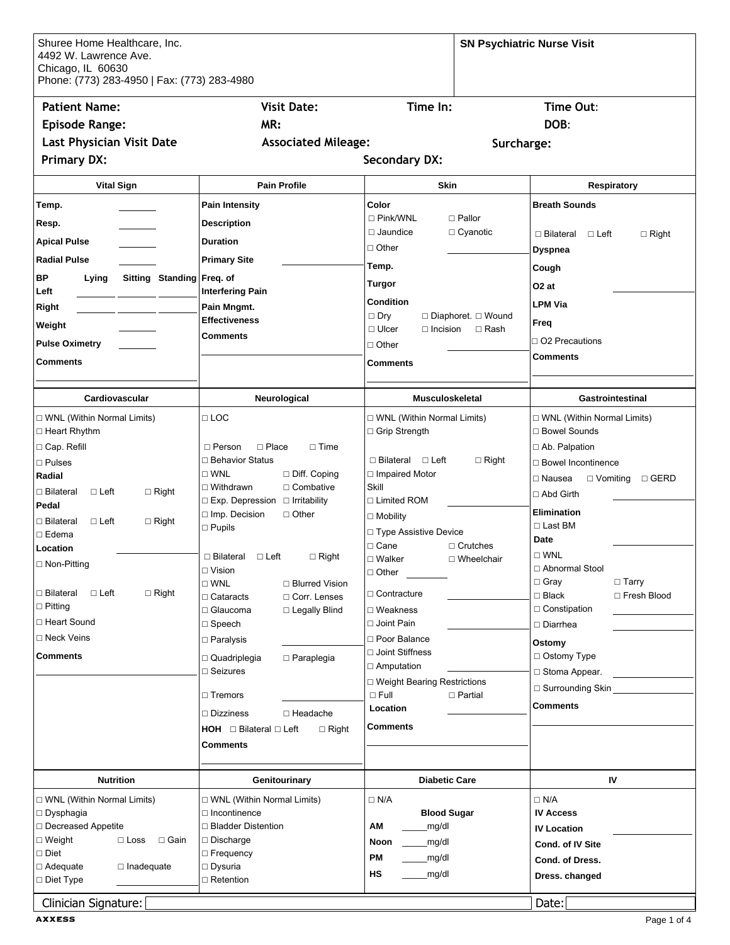| Shuree Home Healthcare, Inc.<br>4492 W. Lawrence Ave.<br>Chicago, IL 60630<br>Phone: (773) 283-4950   Fax: (773) 283-4980 |                                                                         |                                                                                      | <b>SN Psychiatric Nurse Visit</b>               |
|---------------------------------------------------------------------------------------------------------------------------|-------------------------------------------------------------------------|--------------------------------------------------------------------------------------|-------------------------------------------------|
| <b>Patient Name:</b><br><b>Episode Range:</b><br><b>Last Physician Visit Date</b><br><b>Primary DX:</b>                   | <b>Visit Date:</b><br>MR:<br><b>Associated Mileage:</b>                 | Time In:<br>Surcharge:<br><b>Secondary DX:</b>                                       | Time Out:<br>DOB:                               |
|                                                                                                                           |                                                                         |                                                                                      |                                                 |
| <b>Vital Sign</b>                                                                                                         | <b>Pain Profile</b>                                                     | <b>Skin</b>                                                                          | <b>Respiratory</b>                              |
| Temp.                                                                                                                     | <b>Pain Intensity</b>                                                   | Color<br>$\Box$ Pink/WNL<br>$\square$ Pallor                                         | <b>Breath Sounds</b>                            |
| Resp.                                                                                                                     | <b>Description</b>                                                      | $\Box$ Jaundice<br>$\Box$ Cyanotic                                                   | $\Box$ Bilateral<br>$\Box$ Left<br>$\Box$ Right |
| Apical Pulse                                                                                                              | <b>Duration</b>                                                         | $\Box$ Other                                                                         | Dyspnea                                         |
| <b>Radial Pulse</b>                                                                                                       | <b>Primary Site</b>                                                     | Temp.                                                                                | Cough                                           |
| ВP<br><b>Sitting Standing</b><br>Lying<br>Left                                                                            | Freq. of<br><b>Interfering Pain</b>                                     | Turgor                                                                               | O2 at                                           |
| Right                                                                                                                     | Pain Mngmt.                                                             | <b>Condition</b>                                                                     | <b>LPM Via</b>                                  |
| Weight                                                                                                                    | <b>Effectiveness</b>                                                    | $\Box$ Dry<br>□ Diaphoret. □ Wound<br>$\Box$ Ulcer<br>$\Box$ Rash<br>$\Box$ Incision | Freq                                            |
| <b>Pulse Oximetry</b>                                                                                                     | <b>Comments</b>                                                         | $\Box$ Other                                                                         | $\Box$ O2 Precautions                           |
| Comments                                                                                                                  |                                                                         | <b>Comments</b>                                                                      | Comments                                        |
| Cardiovascular                                                                                                            | Neurological                                                            | <b>Musculoskeletal</b>                                                               | Gastrointestinal                                |
| □ WNL (Within Normal Limits)                                                                                              | $\Box$ LOC                                                              | □ WNL (Within Normal Limits)                                                         | □ WNL (Within Normal Limits)                    |
| □ Heart Rhythm                                                                                                            |                                                                         | □ Grip Strength                                                                      | □ Bowel Sounds                                  |
| □ Cap. Refill                                                                                                             | $\Box$ Place<br>$\Box$ Person<br>$\Box$ Time                            |                                                                                      | □ Ab. Palpation                                 |
| $\square$ Pulses                                                                                                          | □ Behavior Status<br>$\square$ WNL<br>$\Box$ Diff. Coping               | $\Box$ Bilateral $\Box$ Left<br>$\Box$ Right<br>$\Box$ Impaired Motor                | □ Bowel Incontinence                            |
| Radial<br>□ Bilateral<br>$\Box$ Left<br>$\Box$ Right                                                                      | $\Box$ Combative<br>$\Box$ Withdrawn                                    | Skill                                                                                | □ Vomiting □ GERD<br>$\Box$ Nausea              |
| Pedal                                                                                                                     | $\Box$ Exp. Depression $\Box$ Irritability                              | $\Box$ Limited ROM                                                                   | □ Abd Girth                                     |
| □ Bilateral<br>$\Box$ Left<br>$\Box$ Right                                                                                | $\Box$ Imp. Decision<br>$\Box$ Other<br>$\square$ Pupils                | $\square$ Mobility                                                                   | <b>Elimination</b><br>$\Box$ Last BM            |
| $\square$ Edema                                                                                                           |                                                                         | □ Type Assistive Device<br>$\Box$ Cane<br>$\Box$ Crutches                            | <b>Date</b>                                     |
| Location<br>□ Non-Pitting                                                                                                 | $\Box$ Right<br>$\Box$ Bilateral $\Box$ Left                            | $\square$ Walker<br>□ Wheelchair                                                     | $\square$ WNL                                   |
|                                                                                                                           | $\Box$ Vision                                                           | $\Box$ Other                                                                         | □ Abnormal Stool<br>$\Box$ Gray<br>$\Box$ Tarry |
| □ Bilateral<br>$\Box$ Right<br>$\Box$ Left                                                                                | $\square$ WNL<br>□ Blurred Vision<br>□ Corr. Lenses<br>$\Box$ Cataracts | $\Box$ Contracture                                                                   | $\Box$ Black<br>□ Fresh Blood                   |
| $\Box$ Pitting                                                                                                            | □ Glaucoma<br>□ Legally Blind                                           | $\Box$ Weakness                                                                      | $\Box$ Constipation                             |
| □ Heart Sound                                                                                                             | $\Box$ Speech                                                           | □ Joint Pain                                                                         | $\Box$ Diarrhea                                 |
| □ Neck Veins                                                                                                              | □ Paralysis                                                             | □ Poor Balance<br>□ Joint Stiffness                                                  | Ostomy                                          |
| Comments                                                                                                                  | $\Box$ Paraplegia<br>$\Box$ Quadriplegia<br>$\Box$ Seizures             | $\Box$ Amputation                                                                    | □ Ostomy Type                                   |
|                                                                                                                           |                                                                         | □ Weight Bearing Restrictions                                                        | $\Box$ Stoma Appear.<br>$\Box$ Surrounding Skin |
|                                                                                                                           | $\sqcap$ Tremors                                                        | $\Box$ Full<br>$\Box$ Partial                                                        | Comments                                        |
|                                                                                                                           | $\Box$ Headache<br>$\Box$ Dizziness                                     | Location                                                                             |                                                 |
|                                                                                                                           | $HOH \square$ Bilateral $\square$ Left<br>$\Box$ Right                  | <b>Comments</b>                                                                      |                                                 |
|                                                                                                                           | <b>Comments</b>                                                         |                                                                                      |                                                 |
| <b>Nutrition</b>                                                                                                          | Genitourinary                                                           | <b>Diabetic Care</b>                                                                 | IV                                              |
| □ WNL (Within Normal Limits)                                                                                              | □ WNL (Within Normal Limits)                                            | $\Box$ N/A                                                                           | $\Box$ N/A                                      |
| □ Dysphagia                                                                                                               | □ Incontinence                                                          | <b>Blood Sugar</b>                                                                   | <b>IV Access</b>                                |
| □ Decreased Appetite<br>□ Weight<br>$\Box$ Gain<br>$\Box$ Loss                                                            | □ Bladder Distention<br>$\Box$ Discharge                                | AM<br>mg/dl                                                                          | <b>IV Location</b>                              |
| □ Diet                                                                                                                    | $\Box$ Frequency                                                        | Noon<br>_mg/dl<br><b>PM</b>                                                          | Cond. of IV Site                                |
| □ Adequate<br>$\Box$ Inadequate                                                                                           | □ Dysuria                                                               | _mg/dl<br>HS<br>_mg/dl                                                               | Cond. of Dress.                                 |
| □ Diet Type                                                                                                               | $\Box$ Retention                                                        |                                                                                      | Dress. changed                                  |
| Clinician Signature:                                                                                                      |                                                                         |                                                                                      | Data:                                           |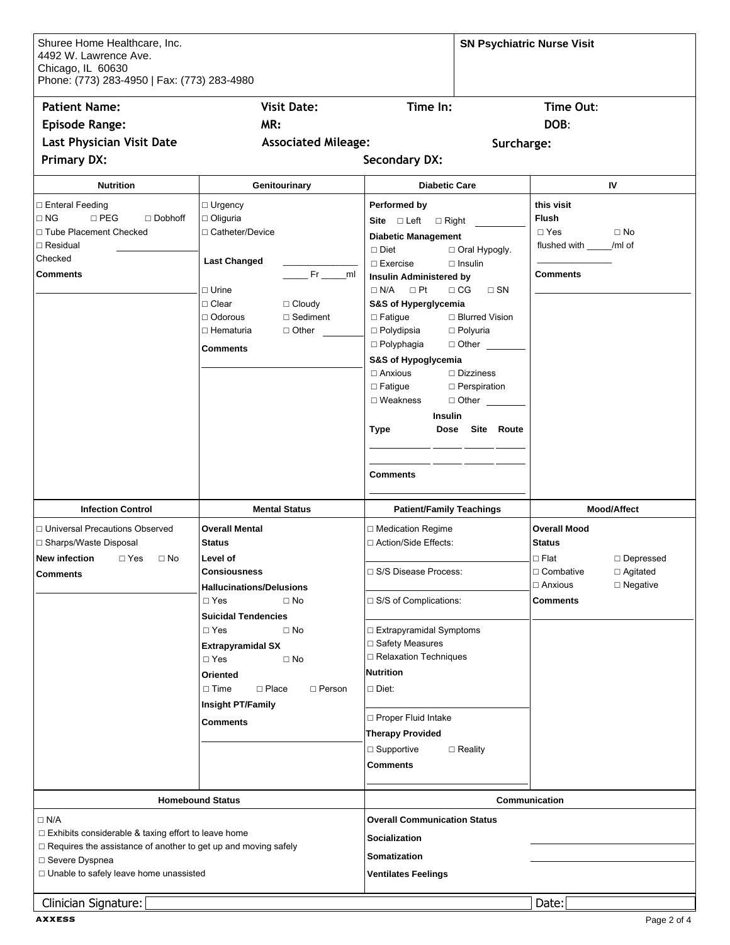| Shuree Home Healthcare, Inc.<br>4492 W. Lawrence Ave.<br>Chicago, IL 60630<br>Phone: (773) 283-4950   Fax: (773) 283-4980 |                                                        |                                                                                        | <b>SN Psychiatric Nurse Visit</b>                     |
|---------------------------------------------------------------------------------------------------------------------------|--------------------------------------------------------|----------------------------------------------------------------------------------------|-------------------------------------------------------|
| <b>Patient Name:</b>                                                                                                      | <b>Visit Date:</b>                                     | Time In:                                                                               | Time Out:                                             |
| <b>Episode Range:</b>                                                                                                     | MR:                                                    |                                                                                        | DOB:                                                  |
| Last Physician Visit Date                                                                                                 | <b>Associated Mileage:</b>                             | Surcharge:                                                                             |                                                       |
|                                                                                                                           |                                                        | <b>Secondary DX:</b>                                                                   |                                                       |
| <b>Primary DX:</b>                                                                                                        |                                                        |                                                                                        |                                                       |
| <b>Nutrition</b>                                                                                                          | Genitourinary                                          | <b>Diabetic Care</b>                                                                   | IV                                                    |
| □ Enteral Feeding<br>$\Box$ NG<br>$\square$ PEG<br>$\Box$ Dobhoff<br>□ Tube Placement Checked                             | $\Box$ Urgency<br>$\Box$ Oliguria<br>□ Catheter/Device | Performed by<br>Site $\square$ Left $\square$ Right<br><b>Diabetic Management</b>      | this visit<br><b>Flush</b><br>$\Box$ Yes<br>$\Box$ No |
| $\Box$ Residual                                                                                                           |                                                        | Oral Hypogly.<br>$\Box$ Diet                                                           | flushed with _____/ml of                              |
| Checked                                                                                                                   | <b>Last Changed</b>                                    | $\Box$ Exercise<br>$\Box$ Insulin                                                      |                                                       |
| <b>Comments</b>                                                                                                           | _ml<br>□ Urine                                         | <b>Insulin Administered by</b><br>$\Box$ Pt<br>$\Box$ CG<br>$\Box$ N/A<br>$\square$ SN | <b>Comments</b>                                       |
|                                                                                                                           | □ Clear<br>$\Box$ Cloudy                               | S&S of Hyperglycemia                                                                   |                                                       |
|                                                                                                                           | $\Box$ Odorous<br>$\Box$ Sediment                      | $\Box$ Fatigue<br>□ Blurred Vision                                                     |                                                       |
|                                                                                                                           | □ Hematuria<br>$\Box$ Other                            | $\Box$ Polydipsia<br>□ Polyuria                                                        |                                                       |
|                                                                                                                           | <b>Comments</b>                                        | $\Box$ Polyphagia<br>$\Box$ Other $\_\_$                                               |                                                       |
|                                                                                                                           |                                                        | S&S of Hypoglycemia<br>$\Box$ Anxious<br>$\Box$ Dizziness                              |                                                       |
|                                                                                                                           |                                                        | □ Fatigue<br>□ Perspiration                                                            |                                                       |
|                                                                                                                           |                                                        | $\Box$ Weakness<br>$\Box$ Other $\qquad \qquad$                                        |                                                       |
|                                                                                                                           |                                                        | <b>Insulin</b>                                                                         |                                                       |
|                                                                                                                           |                                                        | Dose Site Route<br>Type                                                                |                                                       |
|                                                                                                                           |                                                        |                                                                                        |                                                       |
|                                                                                                                           |                                                        |                                                                                        |                                                       |
|                                                                                                                           |                                                        | <b>Comments</b>                                                                        |                                                       |
| <b>Infection Control</b>                                                                                                  | <b>Mental Status</b>                                   | <b>Patient/Family Teachings</b>                                                        | <b>Mood/Affect</b>                                    |
| □ Universal Precautions Observed                                                                                          | <b>Overall Mental</b>                                  | □ Medication Regime                                                                    | <b>Overall Mood</b>                                   |
| □ Sharps/Waste Disposal                                                                                                   | <b>Status</b>                                          | □ Action/Side Effects:                                                                 | <b>Status</b>                                         |
| New infection<br>$\Box$ Yes<br>$\Box$ No                                                                                  | Level of                                               |                                                                                        | $\Box$ Flat<br>$\Box$ Depressed                       |
| <b>Comments</b>                                                                                                           | <b>Consiousness</b>                                    | □ S/S Disease Process:                                                                 | $\Box$ Agitated<br>□ Combative                        |
|                                                                                                                           | <b>Hallucinations/Delusions</b>                        |                                                                                        | $\Box$ Anxious<br>$\square$ Negative                  |
|                                                                                                                           | $\Box$ Yes<br>$\Box$ No                                | □ S/S of Complications:                                                                | <b>Comments</b>                                       |
|                                                                                                                           | <b>Suicidal Tendencies</b><br>$\Box$ Yes<br>$\Box$ No  | □ Extrapyramidal Symptoms                                                              |                                                       |
|                                                                                                                           | <b>Extrapyramidal SX</b>                               | □ Safety Measures                                                                      |                                                       |
|                                                                                                                           | $\Box$ Yes<br>$\Box$ No                                | □ Relaxation Techniques                                                                |                                                       |
|                                                                                                                           | Oriented                                               | <b>Nutrition</b>                                                                       |                                                       |
|                                                                                                                           | $\Box$ Place<br>$\Box$ Time<br>$\Box$ Person           | $\Box$ Diet:                                                                           |                                                       |
|                                                                                                                           | <b>Insight PT/Family</b>                               |                                                                                        |                                                       |
|                                                                                                                           | <b>Comments</b>                                        | □ Proper Fluid Intake                                                                  |                                                       |
|                                                                                                                           |                                                        | <b>Therapy Provided</b>                                                                |                                                       |
|                                                                                                                           |                                                        | □ Supportive<br>$\Box$ Reality                                                         |                                                       |
|                                                                                                                           |                                                        | <b>Comments</b>                                                                        |                                                       |
|                                                                                                                           | <b>Homebound Status</b>                                |                                                                                        | Communication                                         |
|                                                                                                                           |                                                        |                                                                                        |                                                       |
| $\Box$ N/A<br>$\Box$ Exhibits considerable & taxing effort to leave home                                                  |                                                        | <b>Overall Communication Status</b>                                                    |                                                       |
| □ Requires the assistance of another to get up and moving safely                                                          |                                                        | <b>Socialization</b>                                                                   |                                                       |
| □ Severe Dyspnea                                                                                                          |                                                        | <b>Somatization</b>                                                                    |                                                       |
| □ Unable to safely leave home unassisted                                                                                  |                                                        | <b>Ventilates Feelings</b>                                                             |                                                       |
| Clinician Signature:                                                                                                      |                                                        |                                                                                        | Date:                                                 |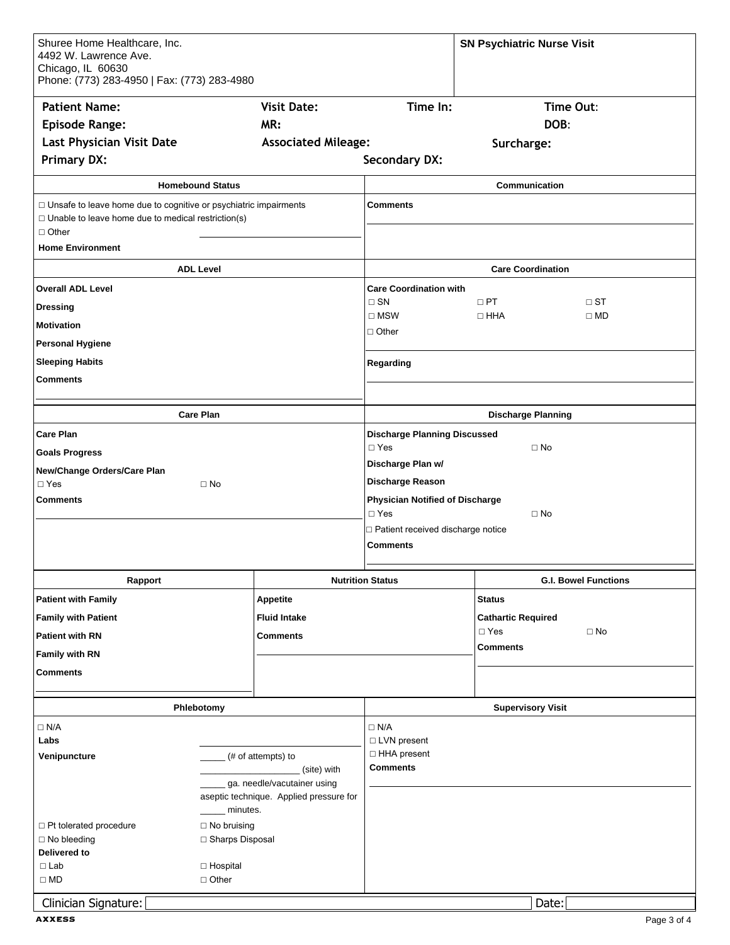| Shuree Home Healthcare, Inc.<br>4492 W. Lawrence Ave.<br>Chicago, IL 60630<br>Phone: (773) 283-4950   Fax: (773) 283-4980                                                       |                    |                                                        |                                        | <b>SN Psychiatric Nurse Visit</b>                 |  |
|---------------------------------------------------------------------------------------------------------------------------------------------------------------------------------|--------------------|--------------------------------------------------------|----------------------------------------|---------------------------------------------------|--|
| <b>Patient Name:</b>                                                                                                                                                            |                    | <b>Visit Date:</b>                                     | Time In:                               | Time Out:                                         |  |
| <b>Episode Range:</b>                                                                                                                                                           |                    | MR:                                                    |                                        | DOB:                                              |  |
| <b>Last Physician Visit Date</b>                                                                                                                                                |                    | <b>Associated Mileage:</b>                             |                                        | Surcharge:                                        |  |
| <b>Primary DX:</b>                                                                                                                                                              |                    |                                                        | <b>Secondary DX:</b>                   |                                                   |  |
|                                                                                                                                                                                 |                    |                                                        |                                        |                                                   |  |
| <b>Homebound Status</b><br>$\Box$ Unsafe to leave home due to cognitive or psychiatric impairments<br>$\Box$ Unable to leave home due to medical restriction(s)<br>$\Box$ Other |                    | <b>Comments</b>                                        | Communication                          |                                                   |  |
| <b>Home Environment</b>                                                                                                                                                         |                    |                                                        |                                        |                                                   |  |
| <b>ADL Level</b>                                                                                                                                                                |                    |                                                        | <b>Care Coordination</b>               |                                                   |  |
| <b>Overall ADL Level</b>                                                                                                                                                        |                    |                                                        | <b>Care Coordination with</b>          |                                                   |  |
| <b>Dressing</b>                                                                                                                                                                 |                    |                                                        | $\Box$ SN<br>$\square$ MSW             | $\Box$ PT<br>$\Box$ ST<br>$\Box$ HHA<br>$\Box$ MD |  |
| <b>Motivation</b>                                                                                                                                                               |                    |                                                        | $\Box$ Other                           |                                                   |  |
| <b>Personal Hygiene</b>                                                                                                                                                         |                    |                                                        |                                        |                                                   |  |
| <b>Sleeping Habits</b>                                                                                                                                                          |                    |                                                        | Regarding                              |                                                   |  |
| <b>Comments</b>                                                                                                                                                                 |                    |                                                        |                                        |                                                   |  |
|                                                                                                                                                                                 |                    |                                                        |                                        |                                                   |  |
| <b>Care Plan</b>                                                                                                                                                                |                    |                                                        | <b>Discharge Planning</b>              |                                                   |  |
| <b>Care Plan</b>                                                                                                                                                                |                    |                                                        | <b>Discharge Planning Discussed</b>    |                                                   |  |
| <b>Goals Progress</b>                                                                                                                                                           |                    |                                                        | $\square$ Yes<br>$\Box$ No             |                                                   |  |
| New/Change Orders/Care Plan                                                                                                                                                     |                    |                                                        | Discharge Plan w/                      |                                                   |  |
| $\Box$ Yes<br>$\square$ No                                                                                                                                                      |                    |                                                        | Discharge Reason                       |                                                   |  |
| <b>Comments</b>                                                                                                                                                                 |                    |                                                        | <b>Physician Notified of Discharge</b> |                                                   |  |
|                                                                                                                                                                                 |                    |                                                        | $\Box$ Yes<br>$\Box$ No                |                                                   |  |
|                                                                                                                                                                                 |                    | □ Patient received discharge notice<br><b>Comments</b> |                                        |                                                   |  |
| Rapport                                                                                                                                                                         |                    |                                                        | <b>Nutrition Status</b>                | <b>G.I. Bowel Functions</b>                       |  |
| <b>Patient with Family</b>                                                                                                                                                      |                    | <b>Appetite</b>                                        |                                        | <b>Status</b>                                     |  |
| <b>Family with Patient</b>                                                                                                                                                      |                    | <b>Fluid Intake</b>                                    |                                        | <b>Cathartic Required</b>                         |  |
| <b>Patient with RN</b>                                                                                                                                                          |                    | <b>Comments</b>                                        |                                        | $\square$ Yes<br>$\square$ No                     |  |
| Family with RN                                                                                                                                                                  |                    |                                                        |                                        | <b>Comments</b>                                   |  |
| <b>Comments</b>                                                                                                                                                                 |                    |                                                        |                                        |                                                   |  |
| Phlebotomy                                                                                                                                                                      |                    |                                                        | <b>Supervisory Visit</b>               |                                                   |  |
| $\Box$ N/A                                                                                                                                                                      |                    |                                                        | $\Box$ N/A                             |                                                   |  |
| Labs                                                                                                                                                                            |                    |                                                        | □ LVN present                          |                                                   |  |
| Venipuncture                                                                                                                                                                    | (# of attempts) to |                                                        | □ HHA present                          |                                                   |  |
|                                                                                                                                                                                 | (site) with        |                                                        | <b>Comments</b>                        |                                                   |  |
| ga. needle/vacutainer using<br>aseptic technique. Applied pressure for                                                                                                          |                    |                                                        |                                        |                                                   |  |
| minutes.                                                                                                                                                                        |                    |                                                        |                                        |                                                   |  |
| □ Pt tolerated procedure<br>$\Box$ No bruising                                                                                                                                  |                    |                                                        |                                        |                                                   |  |
| □ No bleeding                                                                                                                                                                   | □ Sharps Disposal  |                                                        |                                        |                                                   |  |
| Delivered to<br>$\square$ Lab                                                                                                                                                   |                    |                                                        |                                        |                                                   |  |
| $\Box$ Hospital<br>$\square$ MD<br>$\Box$ Other                                                                                                                                 |                    |                                                        |                                        |                                                   |  |
|                                                                                                                                                                                 |                    |                                                        |                                        |                                                   |  |
| Clinician Signature:                                                                                                                                                            |                    |                                                        |                                        | Date:                                             |  |